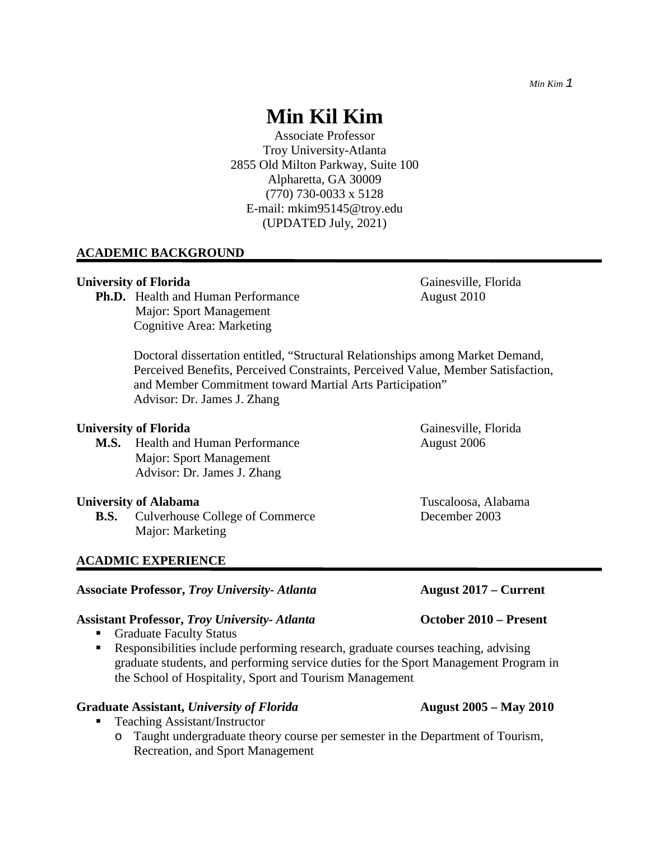Associate Professor Troy University-Atlanta 2855 Old Milton Parkway, Suite 100 Alpharetta, GA 30009 (770) 730-0033 x 5128 E-mail: [mkim95145@troy.edu](mailto:mkim95145@troy.edu) (UPDATED July, 2021)

## **ACADEMIC BACKGROUND**

#### **University of Florida** Gainesville, Florida Gainesville, Florida Gainesville, Florida Gainesville, Gainesville, Gainesville, Gainesville, Gainesville, Gainesville, Gainesville, Gainesville, Gainesville, Gainesville, Gaine

**Ph.D.** Health and Human Performance August 2010 Major: Sport Management Cognitive Area: Marketing

Doctoral dissertation entitled, "Structural Relationships among Market Demand, Perceived Benefits, Perceived Constraints, Perceived Value, Member Satisfaction, and Member Commitment toward Martial Arts Participation" Advisor: Dr. James J. Zhang

#### **University of Florida** Gainesville, Florida Gainesville, Florida Gainesville, Florida Gainesville, Gainesville, Gainesville, Gainesville, Gainesville, Gainesville, Gainesville, Gainesville, Gainesville, Gainesville, Gaine

**M.S.** Health and Human Performance August 2006 Major: Sport Management Advisor: Dr. James J. Zhang

#### **University of Alabama** Tuscaloosa, Alabama

**B.S.** Culverhouse College of Commerce December 2003 Major: Marketing

## **ACADMIC EXPERIENCE**

# **Associate Professor,** *Troy University- Atlanta* **August 2017 – Current**

#### **Assistant Professor,** *Troy University- Atlanta* **October 2010 – Present**

- Graduate Faculty Status
- Responsibilities include performing research, graduate courses teaching, advising graduate students, and performing service duties for the Sport Management Program in the School of Hospitality, Sport and Tourism Management

#### **Graduate Assistant,** *University of Florida* **August 2005 – May 2010**

- Teaching Assistant/Instructor
	- o Taught undergraduate theory course per semester in the Department of Tourism, Recreation, and Sport Management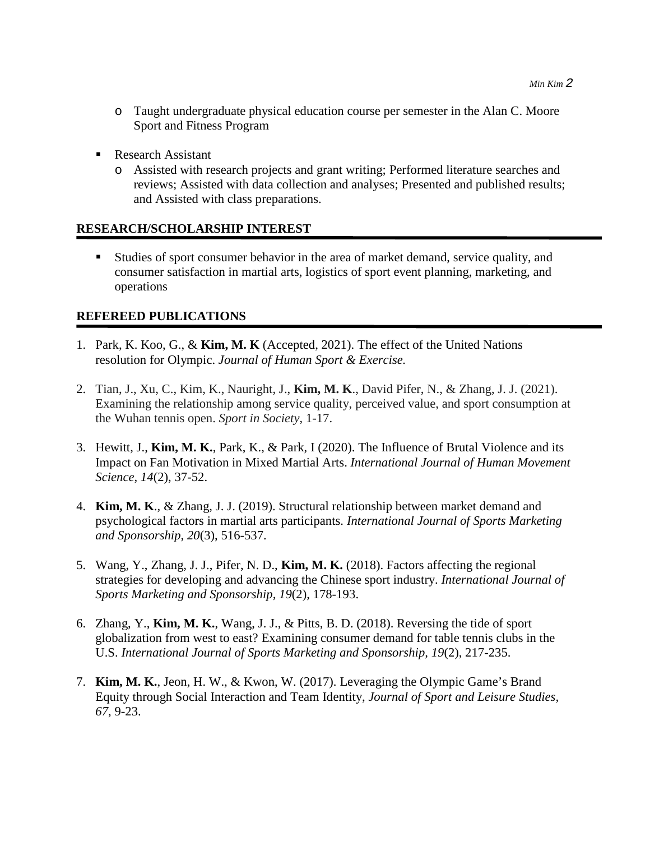- o Taught undergraduate physical education course per semester in the Alan C. Moore Sport and Fitness Program
- Research Assistant
	- o Assisted with research projects and grant writing; Performed literature searches and reviews; Assisted with data collection and analyses; Presented and published results; and Assisted with class preparations.

#### **RESEARCH/SCHOLARSHIP INTEREST**

 Studies of sport consumer behavior in the area of market demand, service quality, and consumer satisfaction in martial arts, logistics of sport event planning, marketing, and operations

## **REFEREED PUBLICATIONS**

- 1. Park, K. Koo, G., & **Kim, M. K** (Accepted, 2021). The effect of the United Nations resolution for Olympic. *Journal of Human Sport & Exercise.*
- 2. Tian, J., Xu, C., Kim, K., Nauright, J., **Kim, M. K**., David Pifer, N., & Zhang, J. J. (2021). Examining the relationship among service quality, perceived value, and sport consumption at the Wuhan tennis open. *Sport in Society*, 1-17.
- 3. Hewitt, J., **Kim, M. K.**, Park, K., & Park, I (2020). The Influence of Brutal Violence and its Impact on Fan Motivation in Mixed Martial Arts. *International Journal of Human Movement Science*, *14*(2), 37-52.
- 4. **Kim, M. K**., & Zhang, J. J. (2019). Structural relationship between market demand and psychological factors in martial arts participants. *International Journal of Sports Marketing and Sponsorship*, *20*(3), 516-537.
- 5. Wang, Y., Zhang, J. J., Pifer, N. D., **Kim, M. K.** (2018). Factors affecting the regional strategies for developing and advancing the Chinese sport industry. *International Journal of Sports Marketing and Sponsorship, 19*(2), 178-193.
- 6. Zhang, Y., **Kim, M. K.**, Wang, J. J., & Pitts, B. D. (2018). Reversing the tide of sport globalization from west to east? Examining consumer demand for table tennis clubs in the U.S. *International Journal of Sports Marketing and Sponsorship, 19*(2), 217-235.
- 7. **Kim, M. K.**, Jeon, H. W., & Kwon, W. (2017). Leveraging the Olympic Game's Brand Equity through Social Interaction and Team Identity, *Journal of Sport and Leisure Studies, 67*, 9-23.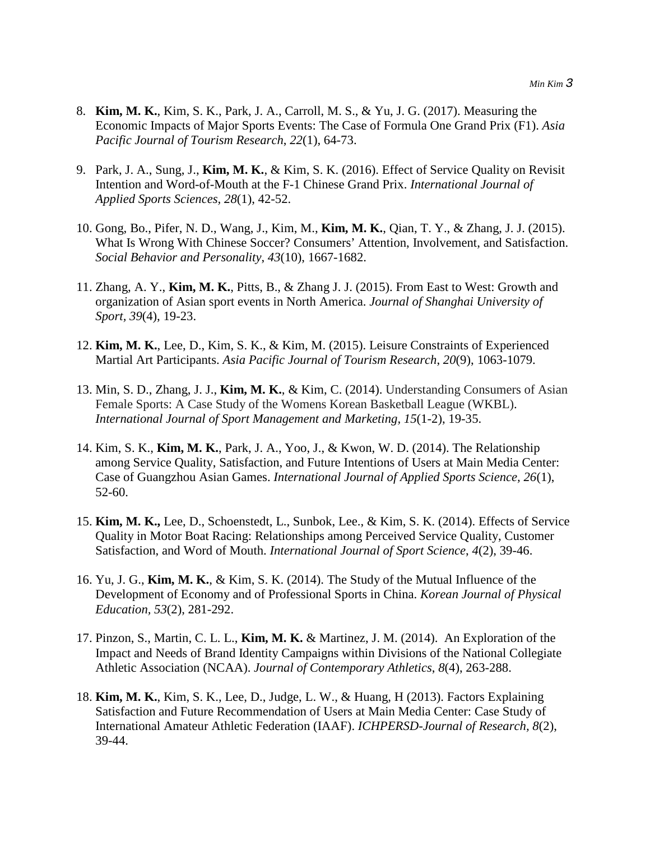- 8. **Kim, M. K.**, Kim, S. K., Park, J. A., Carroll, M. S., & Yu, J. G. (2017). Measuring the Economic Impacts of Major Sports Events: The Case of Formula One Grand Prix (F1). *Asia Pacific Journal of Tourism Research*, *22*(1), 64-73.
- 9. Park, J. A., Sung, J., **Kim, M. K.**, & Kim, S. K. (2016). Effect of Service Quality on Revisit Intention and Word-of-Mouth at the F-1 Chinese Grand Prix. *International Journal of Applied Sports Sciences, 28*(1), 42-52.
- 10. Gong, Bo., Pifer, N. D., Wang, J., Kim, M., **Kim, M. K.**, Qian, T. Y., & Zhang, J. J. (2015). What Is Wrong With Chinese Soccer? Consumers' Attention, Involvement, and Satisfaction. *Social Behavior and Personality*, *43*(10), 1667-1682.
- 11. Zhang, A. Y., **Kim, M. K.**, Pitts, B., & Zhang J. J. (2015). From East to West: Growth and organization of Asian sport events in North America. *Journal of Shanghai University of Sport, 39*(4), 19-23.
- 12. **Kim, M. K.**, Lee, D., Kim, S. K., & Kim, M. (2015). Leisure Constraints of Experienced Martial Art Participants. *Asia Pacific Journal of Tourism Research*, *20*(9), 1063-1079.
- 13. Min, S. D., Zhang, J. J., **Kim, M. K.**, & Kim, C. (2014). Understanding Consumers of Asian Female Sports: A Case Study of the Womens Korean Basketball League (WKBL). *International Journal of Sport Management and Marketing, 15*(1-2), 19-35.
- 14. Kim, S. K., **Kim, M. K.**, Park, J. A., Yoo, J., & Kwon, W. D. (2014). The Relationship among Service Quality, Satisfaction, and Future Intentions of Users at Main Media Center: Case of Guangzhou Asian Games. *International Journal of Applied Sports Science, 26*(1), 52-60.
- 15. **Kim, M. K.,** Lee, D., Schoenstedt, L., Sunbok, Lee., & Kim, S. K. (2014). Effects of Service Quality in Motor Boat Racing: Relationships among Perceived Service Quality, Customer Satisfaction, and Word of Mouth. *International Journal of Sport Science*, *4*(2), 39-46.
- 16. Yu, J. G., **Kim, M. K.**, & Kim, S. K. (2014). The Study of the Mutual Influence of the Development of Economy and of Professional Sports in China. *Korean Journal of Physical Education, 53*(2), 281-292.
- 17. Pinzon, S., Martin, C. L. L., **Kim, M. K.** & Martinez, J. M. (2014). An Exploration of the Impact and Needs of Brand Identity Campaigns within Divisions of the National Collegiate Athletic Association (NCAA). *Journal of Contemporary Athletics*, *8*(4), 263-288.
- 18. **Kim, M. K.**, Kim, S. K., Lee, D., Judge, L. W., & Huang, H (2013). Factors Explaining Satisfaction and Future Recommendation of Users at Main Media Center: Case Study of International Amateur Athletic Federation (IAAF). *ICHPERSD-Journal of Research, 8*(2), 39-44.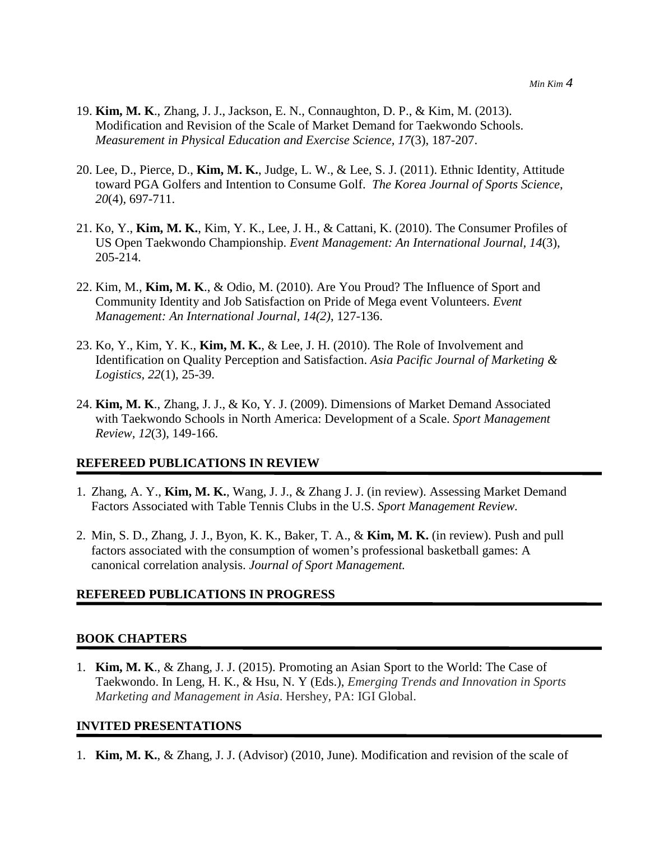- 19. **Kim, M. K**., Zhang, J. J., Jackson, E. N., Connaughton, D. P., & Kim, M. (2013). Modification and Revision of the Scale of Market Demand for Taekwondo Schools. *Measurement in Physical Education and Exercise Science, 17*(3), 187-207.
- 20. Lee, D., Pierce, D., **Kim, M. K.**, Judge, L. W., & Lee, S. J. (2011). Ethnic Identity, Attitude toward PGA Golfers and Intention to Consume Golf. *The Korea Journal of Sports Science*, *20*(4), 697-711.
- 21. Ko, Y., **Kim, M. K.**, Kim, Y. K., Lee, J. H., & Cattani, K. (2010). The Consumer Profiles of US Open Taekwondo Championship. *Event Management: An International Journal, 14*(3), 205-214.
- 22. Kim, M., **Kim, M. K**., & Odio, M. (2010). Are You Proud? The Influence of Sport and Community Identity and Job Satisfaction on Pride of Mega event Volunteers. *Event Management: An International Journal, 14(2)*, 127-136.
- 23. Ko, Y., Kim, Y. K., **Kim, M. K.**, & Lee, J. H. (2010). The Role of Involvement and Identification on Quality Perception and Satisfaction. *Asia Pacific Journal of Marketing & Logistics, 22*(1)*,* 25-39.
- 24. **Kim, M. K**., Zhang, J. J., & Ko, Y. J. (2009). Dimensions of Market Demand Associated with Taekwondo Schools in North America: Development of a Scale. *Sport Management Review, 12*(3), 149-166.

#### **REFEREED PUBLICATIONS IN REVIEW**

- 1. Zhang, A. Y., **Kim, M. K.**, Wang, J. J., & Zhang J. J. (in review). Assessing Market Demand Factors Associated with Table Tennis Clubs in the U.S. *Sport Management Review.*
- 2. Min, S. D., Zhang, J. J., Byon, K. K., Baker, T. A., & **Kim, M. K.** (in review). Push and pull factors associated with the consumption of women's professional basketball games: A canonical correlation analysis. *Journal of Sport Management.*

#### **REFEREED PUBLICATIONS IN PROGRESS**

#### **BOOK CHAPTERS**

1. **Kim, M. K**., & Zhang, J. J. (2015). Promoting an Asian Sport to the World: The Case of Taekwondo. In Leng, H. K., & Hsu, N. Y (Eds.), *Emerging Trends and Innovation in Sports Marketing and Management in Asia*. Hershey, PA: IGI Global.

#### **INVITED PRESENTATIONS**

1. **Kim, M. K.**, & Zhang, J. J. (Advisor) (2010, June). Modification and revision of the scale of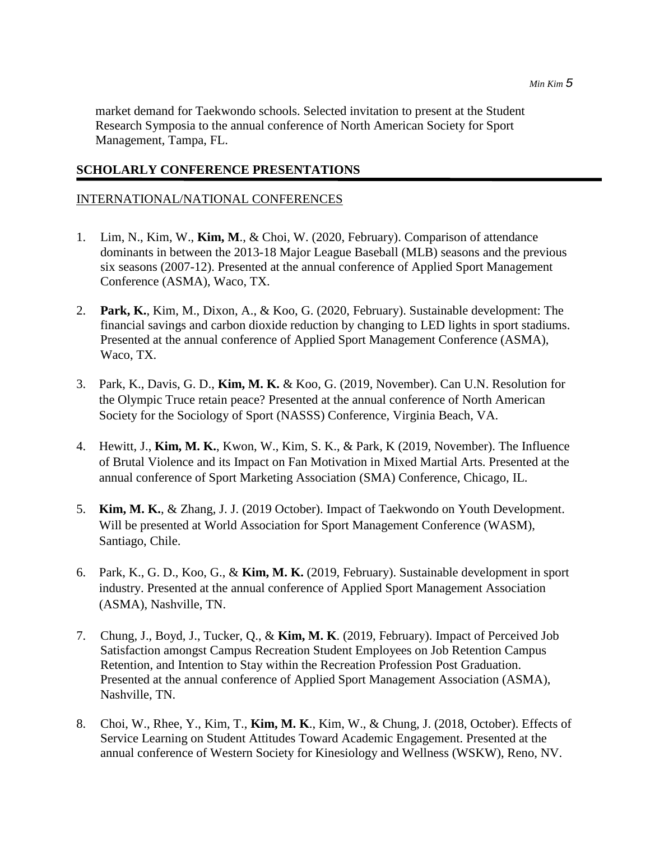market demand for Taekwondo schools. Selected invitation to present at the Student Research Symposia to the annual conference of North American Society for Sport Management, Tampa, FL.

#### **SCHOLARLY CONFERENCE PRESENTATIONS**

## INTERNATIONAL/NATIONAL CONFERENCES

- 1. Lim, N., Kim, W., **Kim, M**., & Choi, W. (2020, February). Comparison of attendance dominants in between the 2013-18 Major League Baseball (MLB) seasons and the previous six seasons (2007-12). Presented at the annual conference of Applied Sport Management Conference (ASMA), Waco, TX.
- 2. **Park, K.**, Kim, M., Dixon, A., & Koo, G. (2020, February). Sustainable development: The financial savings and carbon dioxide reduction by changing to LED lights in sport stadiums. Presented at the annual conference of Applied Sport Management Conference (ASMA), Waco, TX.
- 3. Park, K., Davis, G. D., **Kim, M. K.** & Koo, G. (2019, November). Can U.N. Resolution for the Olympic Truce retain peace? Presented at the annual conference of North American Society for the Sociology of Sport (NASSS) Conference, Virginia Beach, VA.
- 4. Hewitt, J., **Kim, M. K.**, Kwon, W., Kim, S. K., & Park, K (2019, November). The Influence of Brutal Violence and its Impact on Fan Motivation in Mixed Martial Arts. Presented at the annual conference of Sport Marketing Association (SMA) Conference, Chicago, IL.
- 5. **Kim, M. K.**, & Zhang, J. J. (2019 October). Impact of Taekwondo on Youth Development. Will be presented at World Association for Sport Management Conference (WASM), Santiago, Chile.
- 6. Park, K., G. D., Koo, G., & **Kim, M. K.** (2019, February). Sustainable development in sport industry. Presented at the annual conference of Applied Sport Management Association (ASMA), Nashville, TN.
- 7. Chung, J., Boyd, J., Tucker, Q., & **Kim, M. K**. (2019, February). Impact of Perceived Job Satisfaction amongst Campus Recreation Student Employees on Job Retention Campus Retention, and Intention to Stay within the Recreation Profession Post Graduation. Presented at the annual conference of Applied Sport Management Association (ASMA), Nashville, TN.
- 8. Choi, W., Rhee, Y., Kim, T., **Kim, M. K**., Kim, W., & Chung, J. (2018, October). Effects of Service Learning on Student Attitudes Toward Academic Engagement. Presented at the annual conference of Western Society for Kinesiology and Wellness (WSKW), Reno, NV.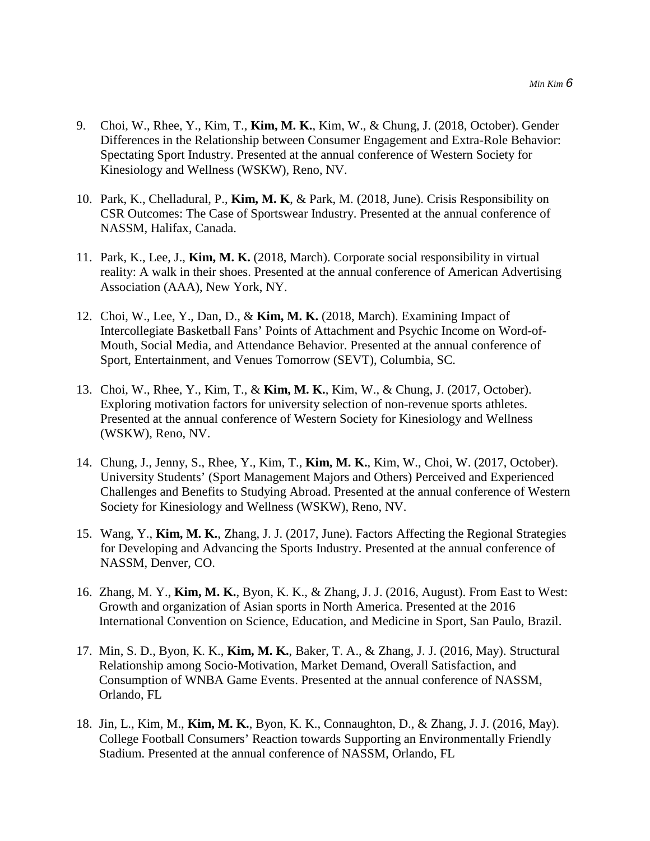- 9. Choi, W., Rhee, Y., Kim, T., **Kim, M. K.**, Kim, W., & Chung, J. (2018, October). Gender Differences in the Relationship between Consumer Engagement and Extra-Role Behavior: Spectating Sport Industry. Presented at the annual conference of Western Society for Kinesiology and Wellness (WSKW), Reno, NV.
- 10. Park, K., Chelladural, P., **Kim, M. K**, & Park, M. (2018, June). Crisis Responsibility on CSR Outcomes: The Case of Sportswear Industry. Presented at the annual conference of NASSM, Halifax, Canada.
- 11. Park, K., Lee, J., **Kim, M. K.** (2018, March). Corporate social responsibility in virtual reality: A walk in their shoes. Presented at the annual conference of American Advertising Association (AAA), New York, NY.
- 12. Choi, W., Lee, Y., Dan, D., & **Kim, M. K.** (2018, March). Examining Impact of Intercollegiate Basketball Fans' Points of Attachment and Psychic Income on Word-of-Mouth, Social Media, and Attendance Behavior. Presented at the annual conference of Sport, Entertainment, and Venues Tomorrow (SEVT), Columbia, SC.
- 13. Choi, W., Rhee, Y., Kim, T., & **Kim, M. K.**, Kim, W., & Chung, J. (2017, October). Exploring motivation factors for university selection of non-revenue sports athletes. Presented at the annual conference of Western Society for Kinesiology and Wellness (WSKW), Reno, NV.
- 14. Chung, J., Jenny, S., Rhee, Y., Kim, T., **Kim, M. K.**, Kim, W., Choi, W. (2017, October). University Students' (Sport Management Majors and Others) Perceived and Experienced Challenges and Benefits to Studying Abroad. Presented at the annual conference of Western Society for Kinesiology and Wellness (WSKW), Reno, NV.
- 15. Wang, Y., **Kim, M. K.**, Zhang, J. J. (2017, June). Factors Affecting the Regional Strategies for Developing and Advancing the Sports Industry. Presented at the annual conference of NASSM, Denver, CO.
- 16. Zhang, M. Y., **Kim, M. K.**, Byon, K. K., & Zhang, J. J. (2016, August). From East to West: Growth and organization of Asian sports in North America. Presented at the 2016 International Convention on Science, Education, and Medicine in Sport, San Paulo, Brazil.
- 17. Min, S. D., Byon, K. K., **Kim, M. K.**, Baker, T. A., & Zhang, J. J. (2016, May). Structural Relationship among Socio-Motivation, Market Demand, Overall Satisfaction, and Consumption of WNBA Game Events. Presented at the annual conference of NASSM, Orlando, FL
- 18. Jin, L., Kim, M., **Kim, M. K.**, Byon, K. K., Connaughton, D., & Zhang, J. J. (2016, May). College Football Consumers' Reaction towards Supporting an Environmentally Friendly Stadium. Presented at the annual conference of NASSM, Orlando, FL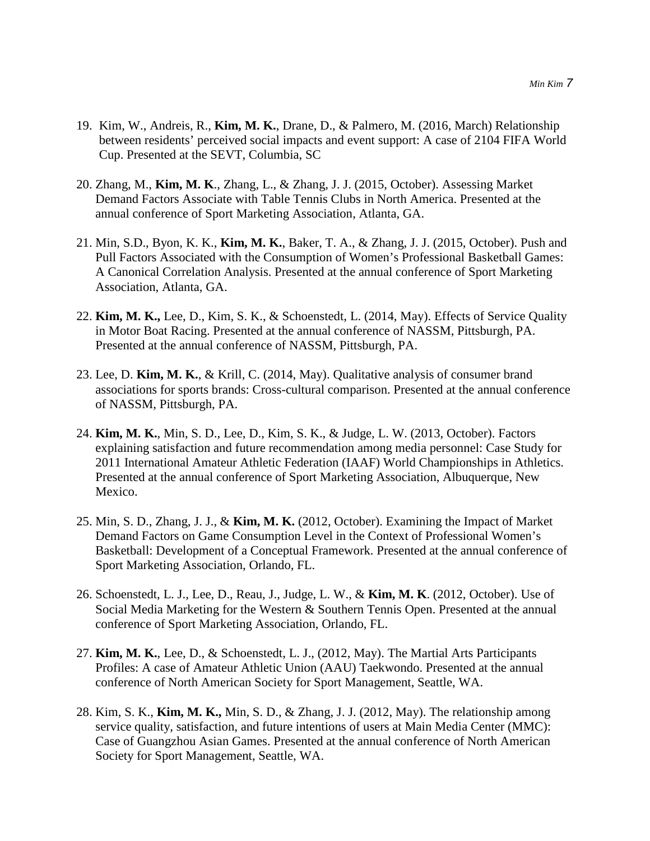- 19. Kim, W., Andreis, R., **Kim, M. K.**, Drane, D., & Palmero, M. (2016, March) Relationship between residents' perceived social impacts and event support: A case of 2104 FIFA World Cup. Presented at the SEVT, Columbia, SC
- 20. Zhang, M., **Kim, M. K**., Zhang, L., & Zhang, J. J. (2015, October). Assessing Market Demand Factors Associate with Table Tennis Clubs in North America. Presented at the annual conference of Sport Marketing Association, Atlanta, GA.
- 21. Min, S.D., Byon, K. K., **Kim, M. K.**, Baker, T. A., & Zhang, J. J. (2015, October). Push and Pull Factors Associated with the Consumption of Women's Professional Basketball Games: A Canonical Correlation Analysis. Presented at the annual conference of Sport Marketing Association, Atlanta, GA.
- 22. **Kim, M. K.,** Lee, D., Kim, S. K., & Schoenstedt, L. (2014, May). Effects of Service Quality in Motor Boat Racing. Presented at the annual conference of NASSM, Pittsburgh, PA. Presented at the annual conference of NASSM, Pittsburgh, PA.
- 23. Lee, D. **Kim, M. K.**, & Krill, C. (2014, May). Qualitative analysis of consumer brand associations for sports brands: Cross-cultural comparison. Presented at the annual conference of NASSM, Pittsburgh, PA.
- 24. **Kim, M. K.**, Min, S. D., Lee, D., Kim, S. K., & Judge, L. W. (2013, October). Factors explaining satisfaction and future recommendation among media personnel: Case Study for 2011 International Amateur Athletic Federation (IAAF) World Championships in Athletics. Presented at the annual conference of Sport Marketing Association, Albuquerque, New Mexico.
- 25. Min, S. D., Zhang, J. J., & **Kim, M. K.** (2012, October). Examining the Impact of Market Demand Factors on Game Consumption Level in the Context of Professional Women's Basketball: Development of a Conceptual Framework. Presented at the annual conference of Sport Marketing Association, Orlando, FL.
- 26. Schoenstedt, L. J., Lee, D., Reau, J., Judge, L. W., & **Kim, M. K**. (2012, October). Use of Social Media Marketing for the Western & Southern Tennis Open. Presented at the annual conference of Sport Marketing Association, Orlando, FL.
- 27. **Kim, M. K.**, Lee, D., & Schoenstedt, L. J., (2012, May). The Martial Arts Participants Profiles: A case of Amateur Athletic Union (AAU) Taekwondo. Presented at the annual conference of North American Society for Sport Management, Seattle, WA.
- 28. Kim, S. K., **Kim, M. K.,** Min, S. D., & Zhang, J. J. (2012, May). The relationship among service quality, satisfaction, and future intentions of users at Main Media Center (MMC): Case of Guangzhou Asian Games. Presented at the annual conference of North American Society for Sport Management, Seattle, WA.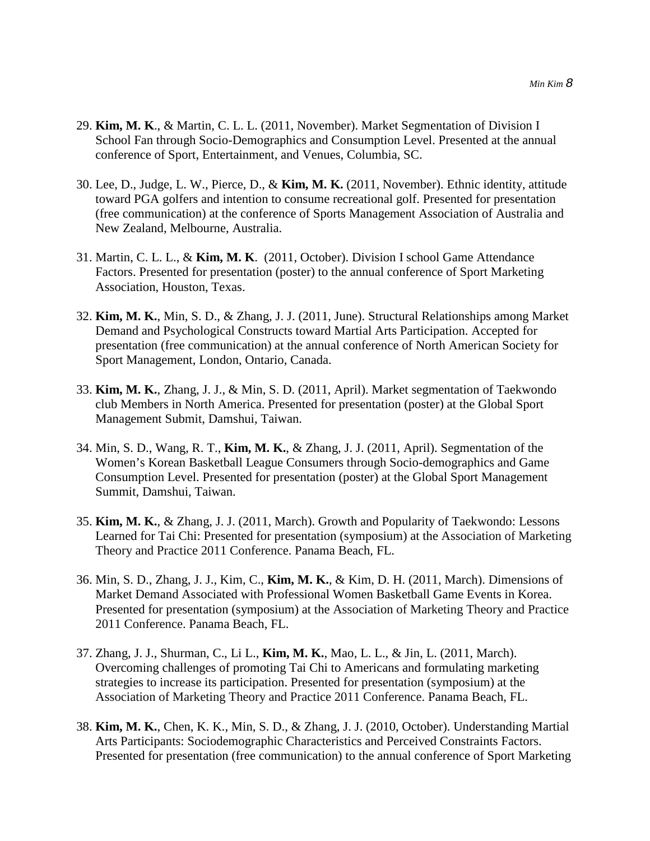- 29. **Kim, M. K**., & Martin, C. L. L. (2011, November). Market Segmentation of Division I School Fan through Socio-Demographics and Consumption Level. Presented at the annual conference of Sport, Entertainment, and Venues, Columbia, SC.
- 30. Lee, D., Judge, L. W., Pierce, D., & **Kim, M. K.** (2011, November). Ethnic identity, attitude toward PGA golfers and intention to consume recreational golf. Presented for presentation (free communication) at the conference of Sports Management Association of Australia and New Zealand, Melbourne, Australia.
- 31. Martin, C. L. L., & **Kim, M. K**. (2011, October). Division I school Game Attendance Factors. Presented for presentation (poster) to the annual conference of Sport Marketing Association, Houston, Texas.
- 32. **Kim, M. K.**, Min, S. D., & Zhang, J. J. (2011, June). Structural Relationships among Market Demand and Psychological Constructs toward Martial Arts Participation. Accepted for presentation (free communication) at the annual conference of North American Society for Sport Management, London, Ontario, Canada.
- 33. **Kim, M. K.**, Zhang, J. J., & Min, S. D. (2011, April). Market segmentation of Taekwondo club Members in North America. Presented for presentation (poster) at the Global Sport Management Submit, Damshui, Taiwan.
- 34. Min, S. D., Wang, R. T., **Kim, M. K.**, & Zhang, J. J. (2011, April). Segmentation of the Women's Korean Basketball League Consumers through Socio-demographics and Game Consumption Level. Presented for presentation (poster) at the Global Sport Management Summit, Damshui, Taiwan.
- 35. **Kim, M. K.**, & Zhang, J. J. (2011, March). Growth and Popularity of Taekwondo: Lessons Learned for Tai Chi: Presented for presentation (symposium) at the Association of Marketing Theory and Practice 2011 Conference. Panama Beach, FL.
- 36. Min, S. D., Zhang, J. J., Kim, C., **Kim, M. K.**, & Kim, D. H. (2011, March). Dimensions of Market Demand Associated with Professional Women Basketball Game Events in Korea. Presented for presentation (symposium) at the Association of Marketing Theory and Practice 2011 Conference. Panama Beach, FL.
- 37. Zhang, J. J., Shurman, C., Li L., **Kim, M. K.**, Mao, L. L., & Jin, L. (2011, March). Overcoming challenges of promoting Tai Chi to Americans and formulating marketing strategies to increase its participation. Presented for presentation (symposium) at the Association of Marketing Theory and Practice 2011 Conference. Panama Beach, FL.
- 38. **Kim, M. K.**, Chen, K. K., Min, S. D., & Zhang, J. J. (2010, October). Understanding Martial Arts Participants: Sociodemographic Characteristics and Perceived Constraints Factors. Presented for presentation (free communication) to the annual conference of Sport Marketing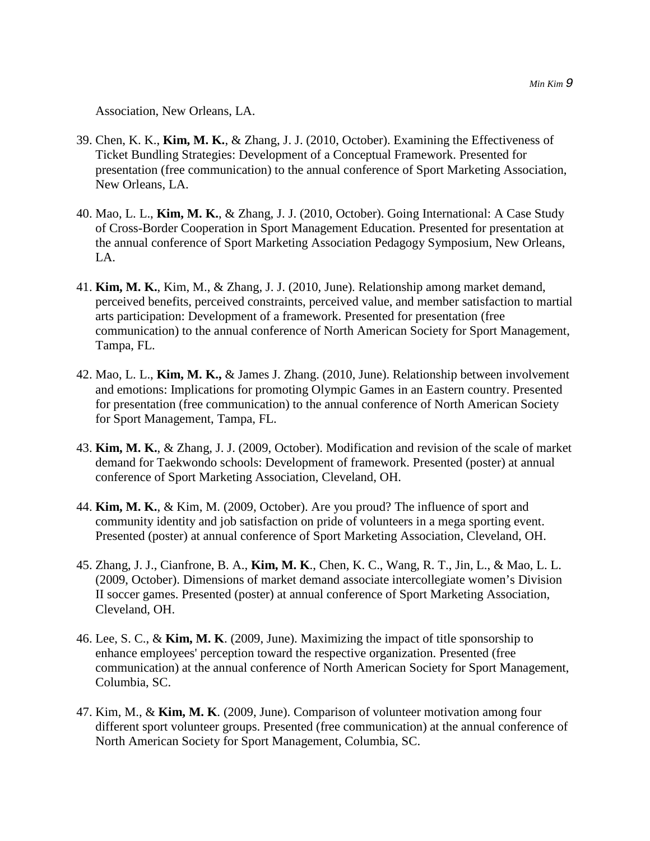Association, New Orleans, LA.

- 39. Chen, K. K., **Kim, M. K.**, & Zhang, J. J. (2010, October). Examining the Effectiveness of Ticket Bundling Strategies: Development of a Conceptual Framework. Presented for presentation (free communication) to the annual conference of Sport Marketing Association, New Orleans, LA.
- 40. Mao, L. L., **Kim, M. K.**, & Zhang, J. J. (2010, October). Going International: A Case Study of Cross-Border Cooperation in Sport Management Education. Presented for presentation at the annual conference of Sport Marketing Association Pedagogy Symposium, New Orleans, LA.
- 41. **Kim, M. K.**, Kim, M., & Zhang, J. J. (2010, June). Relationship among market demand, perceived benefits, perceived constraints, perceived value, and member satisfaction to martial arts participation: Development of a framework. Presented for presentation (free communication) to the annual conference of North American Society for Sport Management, Tampa, FL.
- 42. Mao, L. L., **Kim, M. K.,** & James J. Zhang. (2010, June). Relationship between involvement and emotions: Implications for promoting Olympic Games in an Eastern country. Presented for presentation (free communication) to the annual conference of North American Society for Sport Management, Tampa, FL.
- 43. **Kim, M. K.**, & Zhang, J. J. (2009, October). Modification and revision of the scale of market demand for Taekwondo schools: Development of framework. Presented (poster) at annual conference of Sport Marketing Association, Cleveland, OH.
- 44. **Kim, M. K.**, & Kim, M. (2009, October). Are you proud? The influence of sport and community identity and job satisfaction on pride of volunteers in a mega sporting event. Presented (poster) at annual conference of Sport Marketing Association, Cleveland, OH.
- 45. Zhang, J. J., Cianfrone, B. A., **Kim, M. K**., Chen, K. C., Wang, R. T., Jin, L., & Mao, L. L. (2009, October). Dimensions of market demand associate intercollegiate women's Division II soccer games. Presented (poster) at annual conference of Sport Marketing Association, Cleveland, OH.
- 46. Lee, S. C., & **Kim, M. K**. (2009, June). Maximizing the impact of title sponsorship to enhance employees' perception toward the respective organization. Presented (free communication) at the annual conference of North American Society for Sport Management, Columbia, SC.
- 47. Kim, M., & **Kim, M. K**. (2009, June). Comparison of volunteer motivation among four different sport volunteer groups. Presented (free communication) at the annual conference of North American Society for Sport Management, Columbia, SC.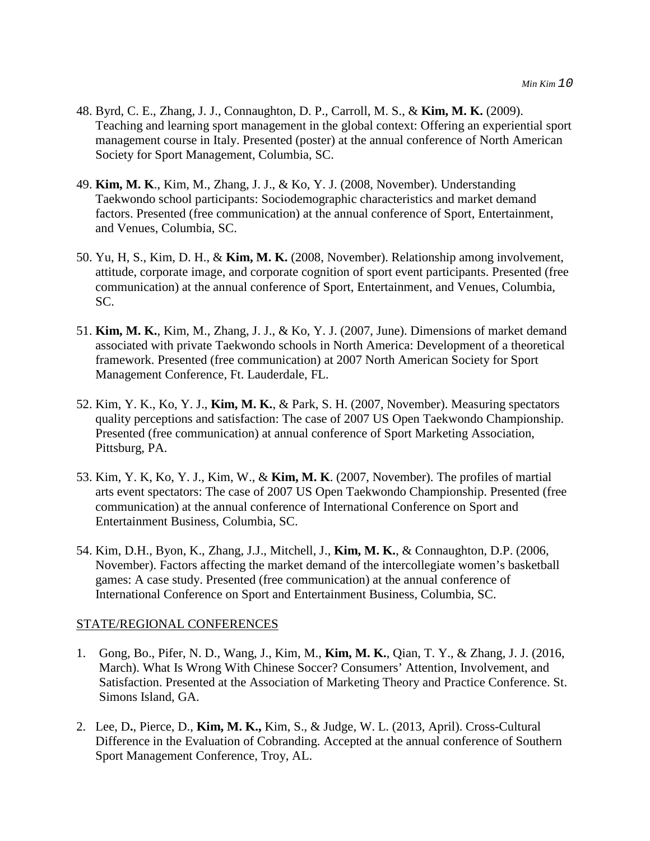- 48. Byrd, C. E., Zhang, J. J., Connaughton, D. P., Carroll, M. S., & **Kim, M. K.** (2009). Teaching and learning sport management in the global context: Offering an experiential sport management course in Italy. Presented (poster) at the annual conference of North American Society for Sport Management, Columbia, SC.
- 49. **Kim, M. K**., Kim, M., Zhang, J. J., & Ko, Y. J. (2008, November). Understanding Taekwondo school participants: Sociodemographic characteristics and market demand factors. Presented (free communication) at the annual conference of Sport, Entertainment, and Venues, Columbia, SC.
- 50. Yu, H, S., Kim, D. H., & **Kim, M. K.** (2008, November). Relationship among involvement, attitude, corporate image, and corporate cognition of sport event participants. Presented (free communication) at the annual conference of Sport, Entertainment, and Venues, Columbia, SC.
- 51. **Kim, M. K.**, Kim, M., Zhang, J. J., & Ko, Y. J. (2007, June). Dimensions of market demand associated with private Taekwondo schools in North America: Development of a theoretical framework. Presented (free communication) at 2007 North American Society for Sport Management Conference, Ft. Lauderdale, FL.
- 52. Kim, Y. K., Ko, Y. J., **Kim, M. K.**, & Park, S. H. (2007, November). Measuring spectators quality perceptions and satisfaction: The case of 2007 US Open Taekwondo Championship. Presented (free communication) at annual conference of Sport Marketing Association, Pittsburg, PA.
- 53. Kim, Y. K, Ko, Y. J., Kim, W., & **Kim, M. K**. (2007, November). The profiles of martial arts event spectators: The case of 2007 US Open Taekwondo Championship. Presented (free communication) at the annual conference of International Conference on Sport and Entertainment Business, Columbia, SC.
- 54. Kim, D.H., Byon, K., Zhang, J.J., Mitchell, J., **Kim, M. K.**, & Connaughton, D.P. (2006, November). Factors affecting the market demand of the intercollegiate women's basketball games: A case study. Presented (free communication) at the annual conference of International Conference on Sport and Entertainment Business, Columbia, SC.

#### STATE/REGIONAL CONFERENCES

- 1. Gong, Bo., Pifer, N. D., Wang, J., Kim, M., **Kim, M. K.**, Qian, T. Y., & Zhang, J. J. (2016, March). What Is Wrong With Chinese Soccer? Consumers' Attention, Involvement, and Satisfaction. Presented at the Association of Marketing Theory and Practice Conference. St. Simons Island, GA.
- 2. Lee, D**.**, Pierce, D., **Kim, M. K.,** Kim, S., & Judge, W. L. (2013, April). Cross-Cultural Difference in the Evaluation of Cobranding. Accepted at the annual conference of Southern Sport Management Conference, Troy, AL.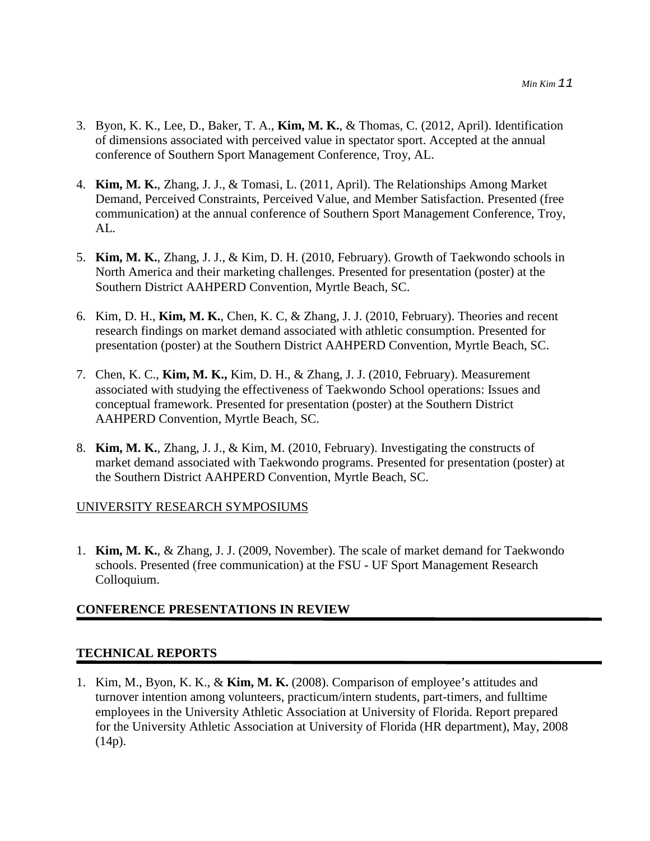- 3. Byon, K. K., Lee, D., Baker, T. A., **Kim, M. K.**, & Thomas, C. (2012, April). Identification of dimensions associated with perceived value in spectator sport. Accepted at the annual conference of Southern Sport Management Conference, Troy, AL.
- 4. **Kim, M. K.**, Zhang, J. J., & Tomasi, L. (2011, April). The Relationships Among Market Demand, Perceived Constraints, Perceived Value, and Member Satisfaction. Presented (free communication) at the annual conference of Southern Sport Management Conference, Troy, AL.
- 5. **Kim, M. K.**, Zhang, J. J., & Kim, D. H. (2010, February). Growth of Taekwondo schools in North America and their marketing challenges. Presented for presentation (poster) at the Southern District AAHPERD Convention, Myrtle Beach, SC.
- 6. Kim, D. H., **Kim, M. K.**, Chen, K. C, & Zhang, J. J. (2010, February). Theories and recent research findings on market demand associated with athletic consumption. Presented for presentation (poster) at the Southern District AAHPERD Convention, Myrtle Beach, SC.
- 7. Chen, K. C., **Kim, M. K.,** Kim, D. H., & Zhang, J. J. (2010, February). Measurement associated with studying the effectiveness of Taekwondo School operations: Issues and conceptual framework. Presented for presentation (poster) at the Southern District AAHPERD Convention, Myrtle Beach, SC.
- 8. **Kim, M. K.**, Zhang, J. J., & Kim, M. (2010, February). Investigating the constructs of market demand associated with Taekwondo programs. Presented for presentation (poster) at the Southern District AAHPERD Convention, Myrtle Beach, SC.

## UNIVERSITY RESEARCH SYMPOSIUMS

1. **Kim, M. K.**, & Zhang, J. J. (2009, November). The scale of market demand for Taekwondo schools. Presented (free communication) at the FSU - UF Sport Management Research Colloquium.

## **CONFERENCE PRESENTATIONS IN REVIEW**

## **TECHNICAL REPORTS**

1. Kim, M., Byon, K. K., & **Kim, M. K.** (2008). Comparison of employee's attitudes and turnover intention among volunteers, practicum/intern students, part-timers, and fulltime employees in the University Athletic Association at University of Florida. Report prepared for the University Athletic Association at University of Florida (HR department), May, 2008 (14p).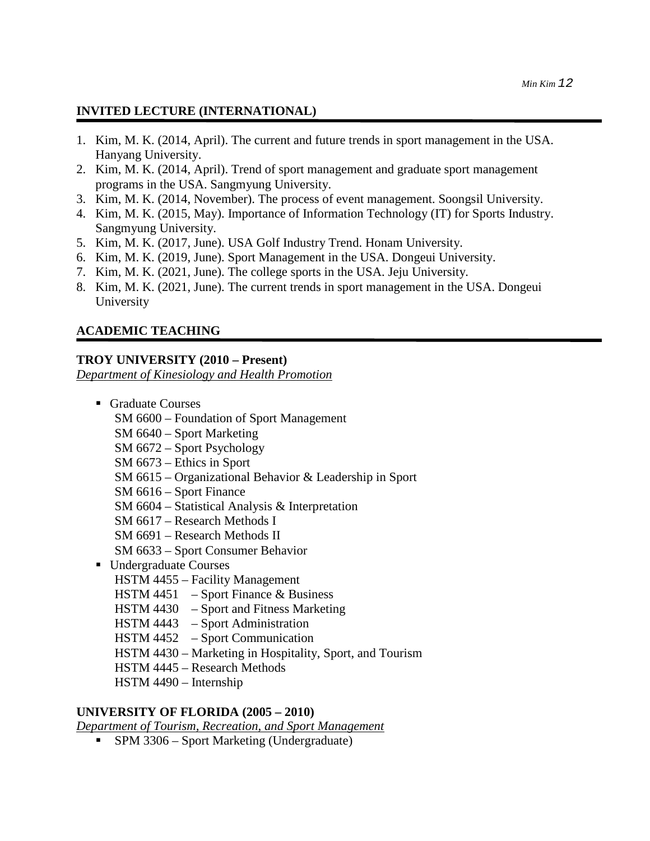## **INVITED LECTURE (INTERNATIONAL)**

- 1. Kim, M. K. (2014, April). The current and future trends in sport management in the USA. Hanyang University.
- 2. Kim, M. K. (2014, April). Trend of sport management and graduate sport management programs in the USA. Sangmyung University.
- 3. Kim, M. K. (2014, November). The process of event management. Soongsil University.
- 4. Kim, M. K. (2015, May). Importance of Information Technology (IT) for Sports Industry. Sangmyung University.
- 5. Kim, M. K. (2017, June). USA Golf Industry Trend. Honam University.
- 6. Kim, M. K. (2019, June). Sport Management in the USA. Dongeui University.
- 7. Kim, M. K. (2021, June). The college sports in the USA. Jeju University.
- 8. Kim, M. K. (2021, June). The current trends in sport management in the USA. Dongeui University

## **ACADEMIC TEACHING**

## **TROY UNIVERSITY (2010 – Present)**

*Department of Kinesiology and Health Promotion*

- Graduate Courses SM 6600 – Foundation of Sport Management SM 6640 – Sport Marketing SM 6672 – Sport Psychology SM 6673 – Ethics in Sport SM 6615 – Organizational Behavior & Leadership in Sport SM 6616 – Sport Finance SM 6604 – Statistical Analysis & Interpretation SM 6617 – Research Methods I SM 6691 – Research Methods II SM 6633 – Sport Consumer Behavior ■ Undergraduate Courses HSTM 4455 – Facility Management HSTM 4451 – Sport Finance  $&$  Business HSTM 4430 – Sport and Fitness Marketing HSTM 4443 – Sport Administration
	- HSTM 4452 Sport Communication
	- HSTM 4430 Marketing in Hospitality, Sport, and Tourism
	- HSTM 4445 Research Methods
	- HSTM 4490 Internship

## **UNIVERSITY OF FLORIDA (2005 – 2010)**

*Department of Tourism, Recreation, and Sport Management*

**SPM 3306 – Sport Marketing (Undergraduate)**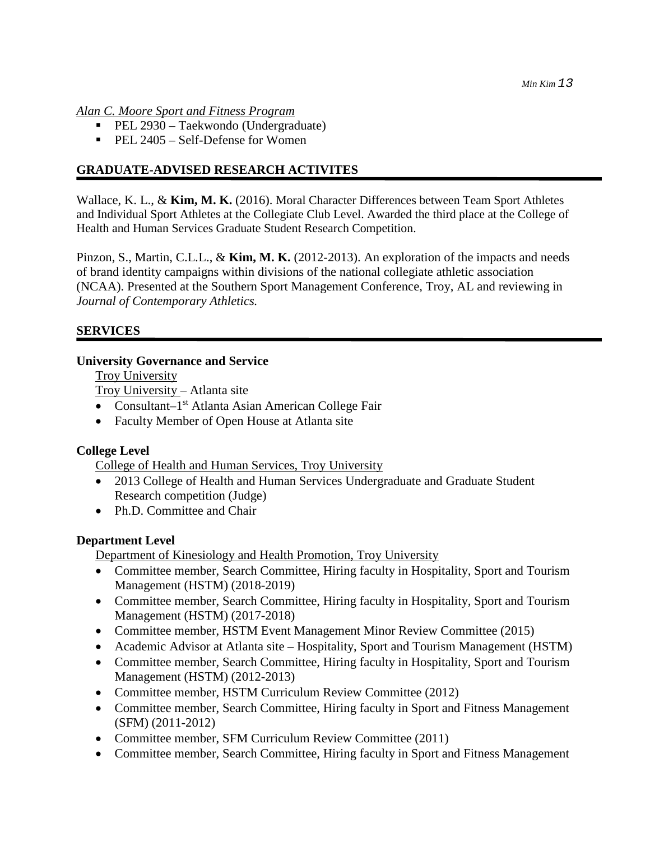*Alan C. Moore Sport and Fitness Program*

- PEL 2930 Taekwondo (Undergraduate)
- $\blacksquare$  PEL 2405 Self-Defense for Women

## **GRADUATE-ADVISED RESEARCH ACTIVITES**

Wallace, K. L., & **Kim, M. K.** (2016). Moral Character Differences between Team Sport Athletes and Individual Sport Athletes at the Collegiate Club Level. Awarded the third place at the College of Health and Human Services Graduate Student Research Competition.

Pinzon, S., Martin, C.L.L., & **Kim, M. K.** (2012-2013). An exploration of the impacts and needs of brand identity campaigns within divisions of the national collegiate athletic association (NCAA). Presented at the Southern Sport Management Conference, Troy, AL and reviewing in *Journal of Contemporary Athletics.*

## **SERVICES**

#### **University Governance and Service**

Troy University

Troy University – Atlanta site

- Consultant $-1<sup>st</sup>$  Atlanta Asian American College Fair
- Faculty Member of Open House at Atlanta site

#### **College Level**

College of Health and Human Services, Troy University

- 2013 College of Health and Human Services Undergraduate and Graduate Student Research competition (Judge)
- Ph.D. Committee and Chair

#### **Department Level**

Department of Kinesiology and Health Promotion, Troy University

- Committee member, Search Committee, Hiring faculty in Hospitality, Sport and Tourism Management (HSTM) (2018-2019)
- Committee member, Search Committee, Hiring faculty in Hospitality, Sport and Tourism Management (HSTM) (2017-2018)
- Committee member, HSTM Event Management Minor Review Committee (2015)
- Academic Advisor at Atlanta site Hospitality, Sport and Tourism Management (HSTM)
- Committee member, Search Committee, Hiring faculty in Hospitality, Sport and Tourism Management (HSTM) (2012-2013)
- Committee member, HSTM Curriculum Review Committee (2012)
- Committee member, Search Committee, Hiring faculty in Sport and Fitness Management (SFM) (2011-2012)
- Committee member, SFM Curriculum Review Committee (2011)
- Committee member, Search Committee, Hiring faculty in Sport and Fitness Management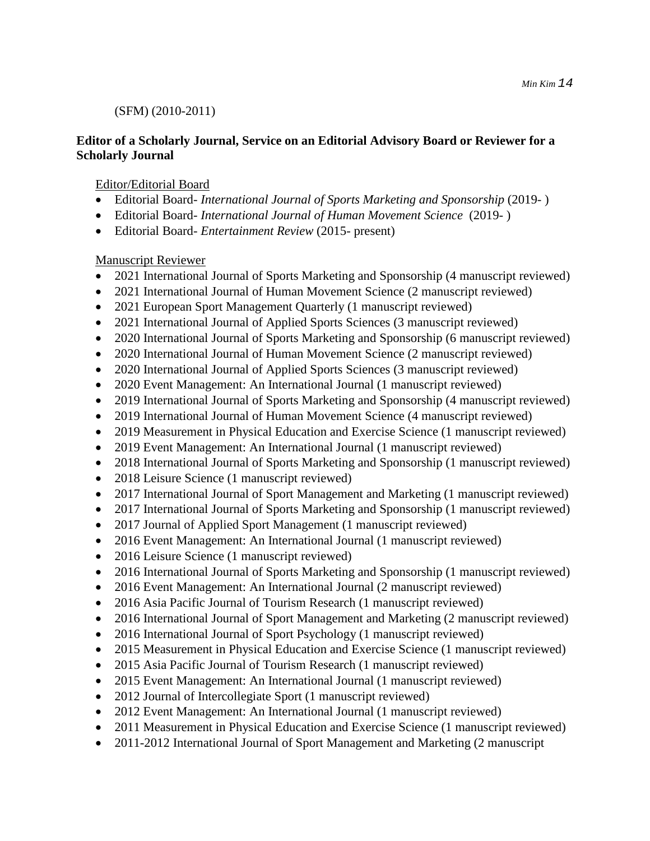# (SFM) (2010-2011)

## **Editor of a Scholarly Journal, Service on an Editorial Advisory Board or Reviewer for a Scholarly Journal**

# Editor/Editorial Board

- Editorial Board- *International Journal of Sports Marketing and Sponsorship* (2019- )
- Editorial Board- *International Journal of Human Movement Science* (2019- )
- Editorial Board- *Entertainment Review* (2015- present)

# Manuscript Reviewer

- 2021 International Journal of Sports Marketing and Sponsorship (4 manuscript reviewed)
- 2021 International Journal of Human Movement Science (2 manuscript reviewed)
- 2021 European Sport Management Quarterly (1 manuscript reviewed)
- 2021 International Journal of Applied Sports Sciences (3 manuscript reviewed)
- 2020 International Journal of Sports Marketing and Sponsorship (6 manuscript reviewed)
- 2020 International Journal of Human Movement Science (2 manuscript reviewed)
- 2020 International Journal of Applied Sports Sciences (3 manuscript reviewed)
- 2020 Event Management: An International Journal (1 manuscript reviewed)
- 2019 International Journal of Sports Marketing and Sponsorship (4 manuscript reviewed)
- 2019 International Journal of Human Movement Science (4 manuscript reviewed)
- 2019 Measurement in Physical Education and Exercise Science (1 manuscript reviewed)
- 2019 Event Management: An International Journal (1 manuscript reviewed)
- 2018 International Journal of Sports Marketing and Sponsorship (1 manuscript reviewed)
- 2018 Leisure Science (1 manuscript reviewed)
- 2017 International Journal of Sport Management and Marketing (1 manuscript reviewed)
- 2017 International Journal of Sports Marketing and Sponsorship (1 manuscript reviewed)
- 2017 Journal of Applied Sport Management (1 manuscript reviewed)
- 2016 Event Management: An International Journal (1 manuscript reviewed)
- 2016 Leisure Science (1 manuscript reviewed)
- 2016 International Journal of Sports Marketing and Sponsorship (1 manuscript reviewed)
- 2016 Event Management: An International Journal (2 manuscript reviewed)
- 2016 Asia Pacific Journal of Tourism Research (1 manuscript reviewed)
- 2016 International Journal of Sport Management and Marketing (2 manuscript reviewed)
- 2016 International Journal of Sport Psychology (1 manuscript reviewed)
- 2015 Measurement in Physical Education and Exercise Science (1 manuscript reviewed)
- 2015 Asia Pacific Journal of Tourism Research (1 manuscript reviewed)
- 2015 Event Management: An International Journal (1 manuscript reviewed)
- 2012 Journal of Intercollegiate Sport (1 manuscript reviewed)
- 2012 Event Management: An International Journal (1 manuscript reviewed)
- 2011 Measurement in Physical Education and Exercise Science (1 manuscript reviewed)
- 2011-2012 International Journal of Sport Management and Marketing (2 manuscript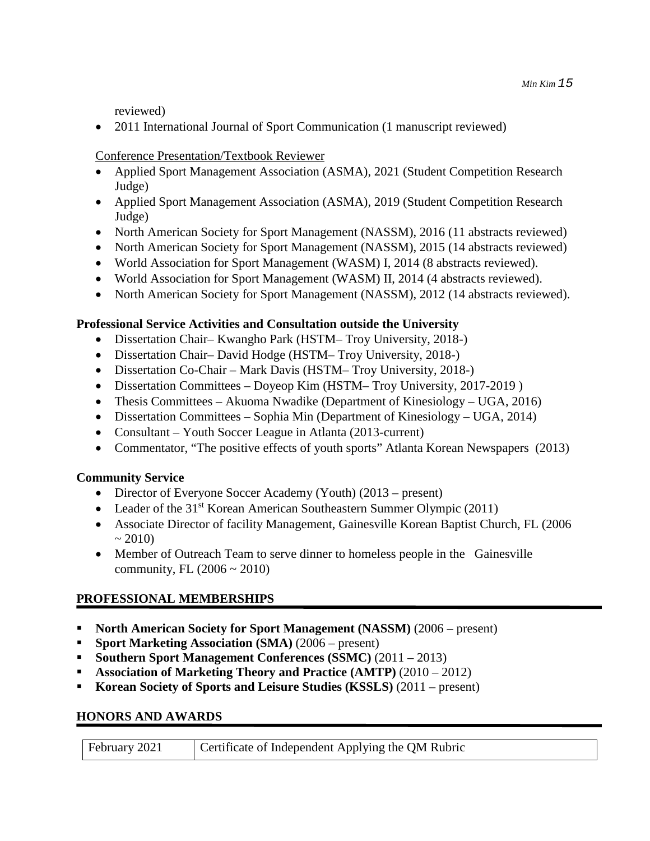reviewed)

• 2011 International Journal of Sport Communication (1 manuscript reviewed)

## Conference Presentation/Textbook Reviewer

- Applied Sport Management Association (ASMA), 2021 (Student Competition Research Judge)
- Applied Sport Management Association (ASMA), 2019 (Student Competition Research Judge)
- North American Society for Sport Management (NASSM), 2016 (11 abstracts reviewed)
- North American Society for Sport Management (NASSM), 2015 (14 abstracts reviewed)
- World Association for Sport Management (WASM) I, 2014 (8 abstracts reviewed).
- World Association for Sport Management (WASM) II, 2014 (4 abstracts reviewed).
- North American Society for Sport Management (NASSM), 2012 (14 abstracts reviewed).

# **Professional Service Activities and Consultation outside the University**

- Dissertation Chair– Kwangho Park (HSTM– Troy University, 2018-)
- Dissertation Chair– David Hodge (HSTM– Troy University, 2018-)
- Dissertation Co-Chair Mark Davis (HSTM– Troy University, 2018-)
- Dissertation Committees Doyeop Kim (HSTM– Troy University, 2017-2019)
- Thesis Committees Akuoma Nwadike (Department of Kinesiology UGA, 2016)
- Dissertation Committees Sophia Min (Department of Kinesiology UGA, 2014)
- Consultant Youth Soccer League in Atlanta (2013-current)
- Commentator, "The positive effects of youth sports" Atlanta Korean Newspapers (2013)

## **Community Service**

- Director of Everyone Soccer Academy (Youth) (2013 present)
- Leader of the  $31<sup>st</sup>$  Korean American Southeastern Summer Olympic (2011)
- Associate Director of facility Management, Gainesville Korean Baptist Church, FL (2006)  $\sim 2010$
- Member of Outreach Team to serve dinner to homeless people in the Gainesville community, FL  $(2006 \sim 2010)$

# **PROFESSIONAL MEMBERSHIPS**

- **North American Society for Sport Management (NASSM)** (2006 present)
- **Sport Marketing Association (SMA)** (2006 present)
- **Southern Sport Management Conferences (SSMC)**  $(2011 2013)$
- **Association of Marketing Theory and Practice (AMTP)** (2010 2012)
- **Korean Society of Sports and Leisure Studies (KSSLS)** (2011 present)

## **HONORS AND AWARDS**

| February 2021 | Certificate of Independent Applying the QM Rubric |
|---------------|---------------------------------------------------|
|               |                                                   |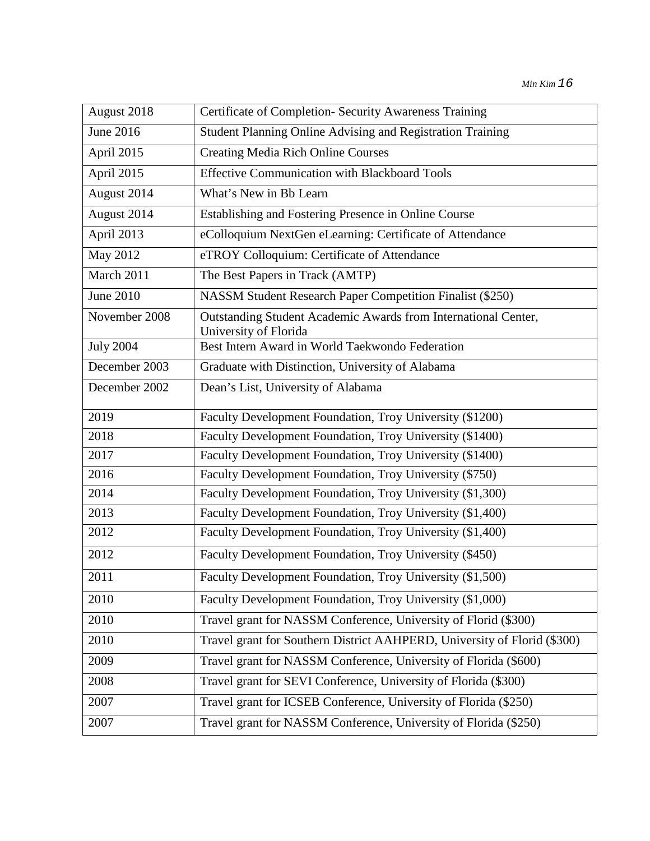| August 2018      | Certificate of Completion- Security Awareness Training                                  |
|------------------|-----------------------------------------------------------------------------------------|
| June 2016        | Student Planning Online Advising and Registration Training                              |
| April 2015       | <b>Creating Media Rich Online Courses</b>                                               |
| April 2015       | <b>Effective Communication with Blackboard Tools</b>                                    |
| August 2014      | What's New in Bb Learn                                                                  |
| August 2014      | Establishing and Fostering Presence in Online Course                                    |
| April 2013       | eColloquium NextGen eLearning: Certificate of Attendance                                |
| May 2012         | eTROY Colloquium: Certificate of Attendance                                             |
| March 2011       | The Best Papers in Track (AMTP)                                                         |
| June 2010        | NASSM Student Research Paper Competition Finalist (\$250)                               |
| November 2008    | Outstanding Student Academic Awards from International Center,<br>University of Florida |
| <b>July 2004</b> | Best Intern Award in World Taekwondo Federation                                         |
| December 2003    | Graduate with Distinction, University of Alabama                                        |
| December 2002    | Dean's List, University of Alabama                                                      |
| 2019             | Faculty Development Foundation, Troy University (\$1200)                                |
| 2018             | Faculty Development Foundation, Troy University (\$1400)                                |
| 2017             | Faculty Development Foundation, Troy University (\$1400)                                |
| 2016             | Faculty Development Foundation, Troy University (\$750)                                 |
| 2014             | Faculty Development Foundation, Troy University (\$1,300)                               |
| 2013             | Faculty Development Foundation, Troy University (\$1,400)                               |
| 2012             | Faculty Development Foundation, Troy University (\$1,400)                               |
| 2012             | Faculty Development Foundation, Troy University (\$450)                                 |
| 2011             | Faculty Development Foundation, Troy University (\$1,500)                               |
| 2010             | Faculty Development Foundation, Troy University (\$1,000)                               |
| 2010             | Travel grant for NASSM Conference, University of Florid (\$300)                         |
| 2010             | Travel grant for Southern District AAHPERD, University of Florid (\$300)                |
| 2009             | Travel grant for NASSM Conference, University of Florida (\$600)                        |
| 2008             | Travel grant for SEVI Conference, University of Florida (\$300)                         |
| 2007             | Travel grant for ICSEB Conference, University of Florida (\$250)                        |
| 2007             | Travel grant for NASSM Conference, University of Florida (\$250)                        |